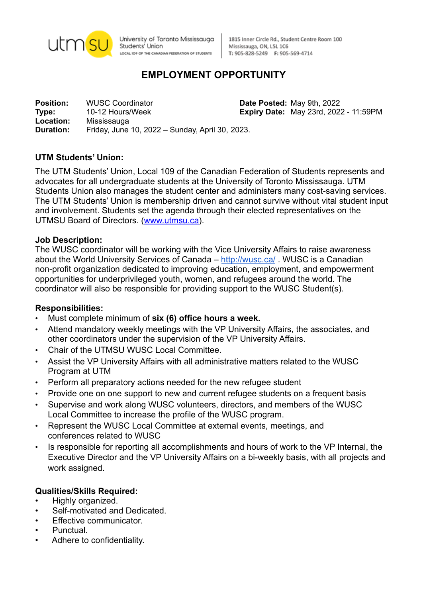

University of Toronto Mississauga Students<sup>i</sup> Union LOCAL IO9 OF THE CANADIAN FEDERATION OF STUDENTS

1815 Inner Circle Rd., Student Centre Room 100 Mississauga, ON, L5L 1C6 T: 905-828-5249 F: 905-569-4714

# **EMPLOYMENT OPPORTUNITY**

**Position:** WUSC Coordinator **Date Posted:** May 9th, 2022 **Type:** 10-12 Hours/Week **Expiry Date:** May 23rd, 2022 - 11:59PM **Location:** Mississauga **Duration:** Friday, June 10, 2022 – Sunday, April 30, 2023.

## **UTM Students' Union:**

The UTM Students' Union, Local 109 of the Canadian Federation of Students represents and advocates for all undergraduate students at the University of Toronto Mississauga. UTM Students Union also manages the student center and administers many cost-saving services. The UTM Students' Union is membership driven and cannot survive without vital student input and involvement. Students set the agenda through their elected representatives on the UTMSU Board of Directors. ([www.utmsu.ca](http://www.utmsu.ca)).

## **Job Description:**

The WUSC coordinator will be working with the Vice University Affairs to raise awareness about the World University Services of Canada – <http://wusc.ca/>. WUSC is a Canadian non-profit organization dedicated to improving education, employment, and empowerment opportunities for underprivileged youth, women, and refugees around the world. The coordinator will also be responsible for providing support to the WUSC Student(s).

## **Responsibilities:**

- Must complete minimum of **six (6) office hours a week.**
- Attend mandatory weekly meetings with the VP University Affairs, the associates, and other coordinators under the supervision of the VP University Affairs.
- Chair of the UTMSU WUSC Local Committee.
- Assist the VP University Affairs with all administrative matters related to the WUSC Program at UTM
- Perform all preparatory actions needed for the new refugee student
- Provide one on one support to new and current refugee students on a frequent basis
- Supervise and work along WUSC volunteers, directors, and members of the WUSC Local Committee to increase the profile of the WUSC program.
- Represent the WUSC Local Committee at external events, meetings, and conferences related to WUSC
- Is responsible for reporting all accomplishments and hours of work to the VP Internal, the Executive Director and the VP University Affairs on a bi-weekly basis, with all projects and work assigned.

## **Qualities/Skills Required:**

- Highly organized.
- Self-motivated and Dedicated.
- Effective communicator.
- Punctual.
- Adhere to confidentiality.